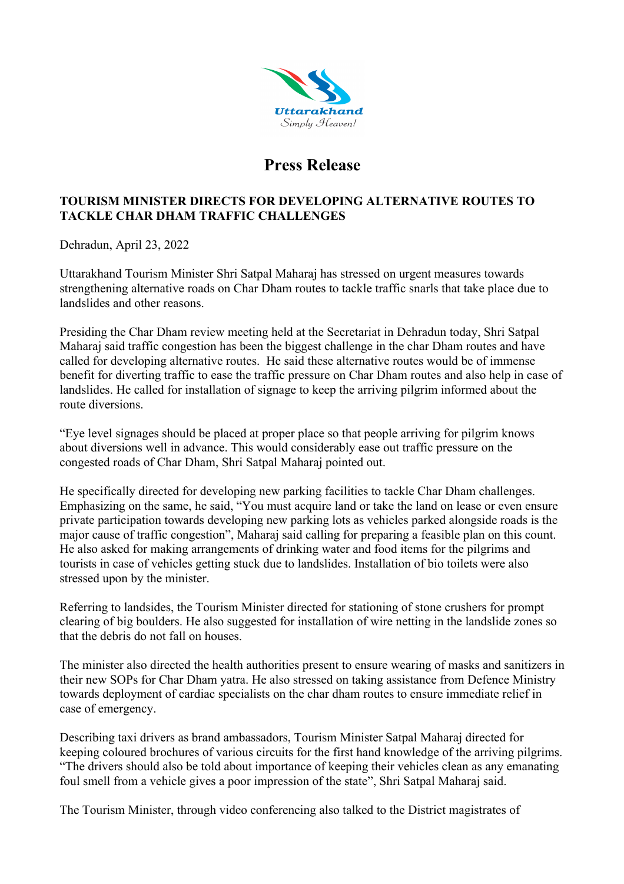

## **Press Release**

## **TOURISM MINISTER DIRECTS FOR DEVELOPING ALTERNATIVE ROUTES TO TACKLE CHAR DHAM TRAFFIC CHALLENGES**

Dehradun, April 23, 2022

Uttarakhand Tourism Minister Shri Satpal Maharaj has stressed on urgent measures towards strengthening alternative roads on Char Dham routes to tackle traffic snarls that take place due to landslides and other reasons.

Presiding the Char Dham review meeting held at the Secretariat in Dehradun today, Shri Satpal Maharaj said traffic congestion has been the biggest challenge in the char Dham routes and have called for developing alternative routes. He said these alternative routes would be of immense benefit for diverting traffic to ease the traffic pressure on Char Dham routes and also help in case of landslides. He called for installation of signage to keep the arriving pilgrim informed about the route diversions.

"Eye level signages should be placed at proper place so that people arriving for pilgrim knows about diversions well in advance. This would considerably ease out traffic pressure on the congested roads of Char Dham, Shri Satpal Maharaj pointed out.

He specifically directed for developing new parking facilities to tackle Char Dham challenges. Emphasizing on the same, he said, "You must acquire land or take the land on lease or even ensure private participation towards developing new parking lots as vehicles parked alongside roads is the major cause of traffic congestion", Maharaj said calling for preparing a feasible plan on this count. He also asked for making arrangements of drinking water and food items for the pilgrims and tourists in case of vehicles getting stuck due to landslides. Installation of bio toilets were also stressed upon by the minister.

Referring to landsides, the Tourism Minister directed for stationing of stone crushers for prompt clearing of big boulders. He also suggested for installation of wire netting in the landslide zones so that the debris do not fall on houses.

The minister also directed the health authorities present to ensure wearing of masks and sanitizers in their new SOPs for Char Dham yatra. He also stressed on taking assistance from Defence Ministry towards deployment of cardiac specialists on the char dham routes to ensure immediate relief in case of emergency.

Describing taxi drivers as brand ambassadors, Tourism Minister Satpal Maharaj directed for keeping coloured brochures of various circuits for the first hand knowledge of the arriving pilgrims. "The drivers should also be told about importance of keeping their vehicles clean as any emanating foul smell from a vehicle gives a poor impression of the state", Shri Satpal Maharaj said.

The Tourism Minister, through video conferencing also talked to the District magistrates of